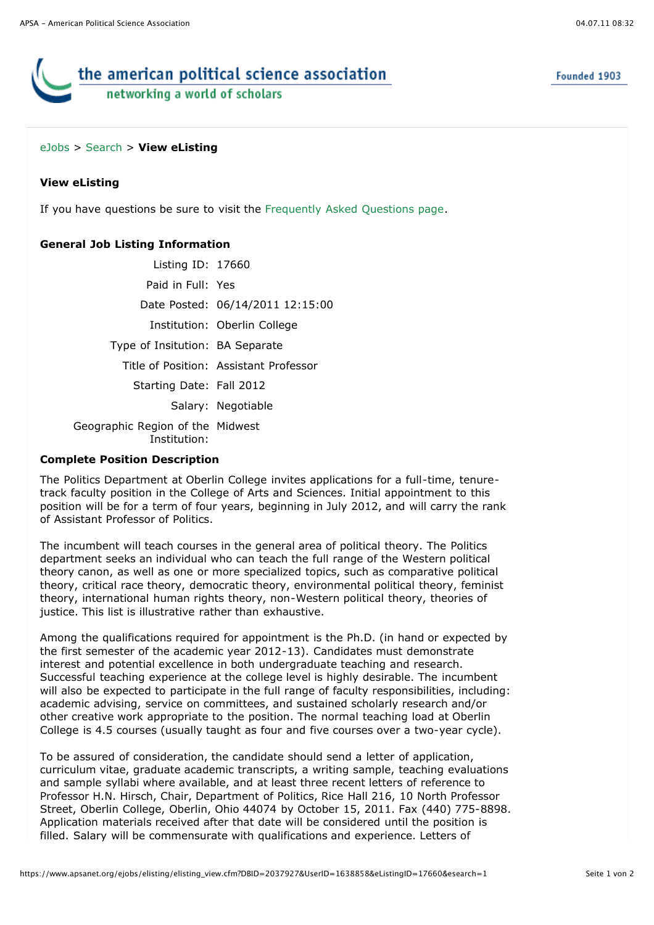Founded 1903

# the american political science association networking a world of scholars

# [eJobs](https://www.apsanet.org/eJobs/startpage.cfm) > [Search](javascript:history.go(-1);) > **View eListing**

# **View eListing**

If you have questions be sure to visit the [Frequently Asked Questions page](javascript:void(0)).

# **General Job Listing Information**

| Listing $ID: 17660$                              |                                        |
|--------------------------------------------------|----------------------------------------|
| Paid in Full: Yes                                |                                        |
|                                                  | Date Posted: 06/14/2011 12:15:00       |
|                                                  | Institution: Oberlin College           |
| Type of Insitution: BA Separate                  |                                        |
|                                                  | Title of Position: Assistant Professor |
| Starting Date: Fall 2012                         |                                        |
|                                                  | Salary: Negotiable                     |
| Geographic Region of the Midwest<br>Institution: |                                        |

#### **Complete Position Description**

The Politics Department at Oberlin College invites applications for a full-time, tenuretrack faculty position in the College of Arts and Sciences. Initial appointment to this position will be for a term of four years, beginning in July 2012, and will carry the rank of Assistant Professor of Politics.

The incumbent will teach courses in the general area of political theory. The Politics department seeks an individual who can teach the full range of the Western political theory canon, as well as one or more specialized topics, such as comparative political theory, critical race theory, democratic theory, environmental political theory, feminist theory, international human rights theory, non-Western political theory, theories of justice. This list is illustrative rather than exhaustive.

Among the qualifications required for appointment is the Ph.D. (in hand or expected by the first semester of the academic year 2012-13). Candidates must demonstrate interest and potential excellence in both undergraduate teaching and research. Successful teaching experience at the college level is highly desirable. The incumbent will also be expected to participate in the full range of faculty responsibilities, including: academic advising, service on committees, and sustained scholarly research and/or other creative work appropriate to the position. The normal teaching load at Oberlin College is 4.5 courses (usually taught as four and five courses over a two-year cycle).

To be assured of consideration, the candidate should send a letter of application, curriculum vitae, graduate academic transcripts, a writing sample, teaching evaluations and sample syllabi where available, and at least three recent letters of reference to Professor H.N. Hirsch, Chair, Department of Politics, Rice Hall 216, 10 North Professor Street, Oberlin College, Oberlin, Ohio 44074 by October 15, 2011. Fax (440) 775-8898. Application materials received after that date will be considered until the position is filled. Salary will be commensurate with qualifications and experience. Letters of